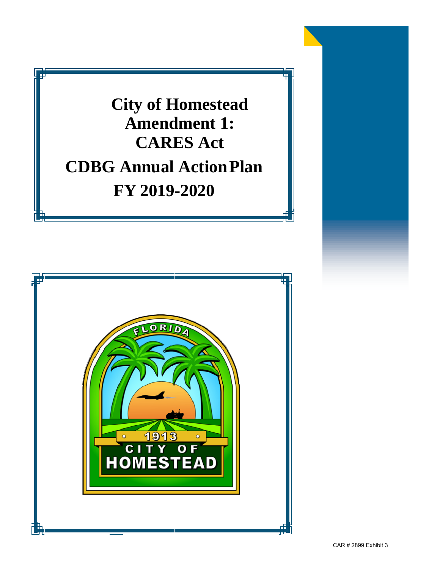**City of Homestead Amendment 1: CARES Act CDBG Annual ActionPlan FY 2019-2020** 

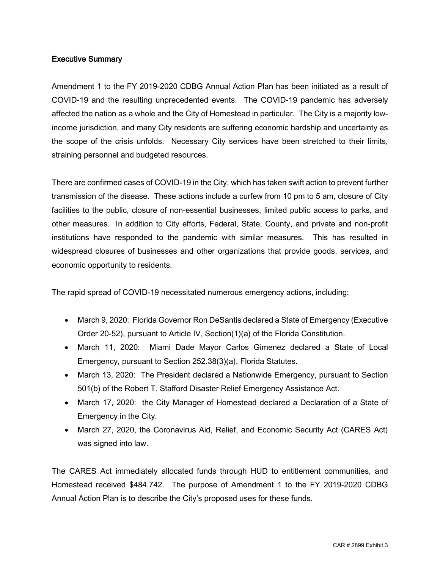## Executive Summary

Amendment 1 to the FY 2019-2020 CDBG Annual Action Plan has been initiated as a result of COVID-19 and the resulting unprecedented events. The COVID-19 pandemic has adversely affected the nation as a whole and the City of Homestead in particular. The City is a majority lowincome jurisdiction, and many City residents are suffering economic hardship and uncertainty as the scope of the crisis unfolds. Necessary City services have been stretched to their limits, straining personnel and budgeted resources.

There are confirmed cases of COVID-19 in the City, which has taken swift action to prevent further transmission of the disease. These actions include a curfew from 10 pm to 5 am, closure of City facilities to the public, closure of non-essential businesses, limited public access to parks, and other measures. In addition to City efforts, Federal, State, County, and private and non-profit institutions have responded to the pandemic with similar measures. This has resulted in widespread closures of businesses and other organizations that provide goods, services, and economic opportunity to residents.

The rapid spread of COVID-19 necessitated numerous emergency actions, including:

- March 9, 2020: Florida Governor Ron DeSantis declared a State of Emergency (Executive Order 20-52), pursuant to Article IV, Section(1)(a) of the Florida Constitution.
- March 11, 2020: Miami Dade Mayor Carlos Gimenez declared a State of Local Emergency, pursuant to Section 252.38(3)(a), Florida Statutes.
- March 13, 2020: The President declared a Nationwide Emergency, pursuant to Section 501(b) of the Robert T. Stafford Disaster Relief Emergency Assistance Act.
- March 17, 2020: the City Manager of Homestead declared a Declaration of a State of Emergency in the City.
- March 27, 2020, the Coronavirus Aid, Relief, and Economic Security Act (CARES Act) was signed into law.

The CARES Act immediately allocated funds through HUD to entitlement communities, and Homestead received \$484,742. The purpose of Amendment 1 to the FY 2019-2020 CDBG Annual Action Plan is to describe the City's proposed uses for these funds.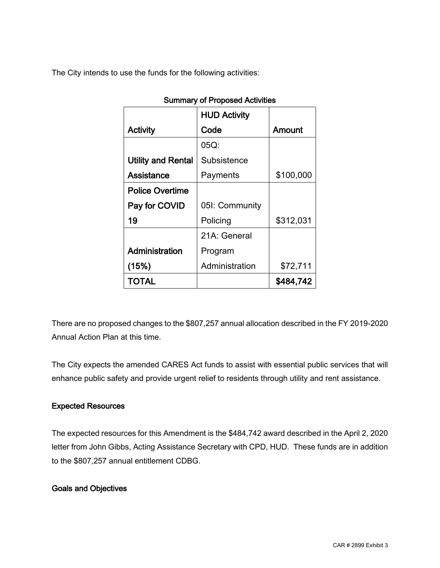The City intends to use the funds for the following activities:

|                           | <b>HUD Activity</b> |           |
|---------------------------|---------------------|-----------|
| <b>Activity</b>           | Code                | Amount    |
|                           | 05Q:                |           |
| <b>Utility and Rental</b> | Subsistence         |           |
| Assistance                | Payments            | \$100,000 |
| <b>Police Overtime</b>    |                     |           |
| Pay for COVID             | 05I: Community      |           |
| 19                        | Policing            | \$312,031 |
|                           | 21A: General        |           |
| Administration            | Program             |           |
| (15%)                     | Administration      | \$72,711  |
| TOTAL                     |                     | \$484,742 |

# Summary of Proposed Activities

There are no proposed changes to the \$807,257 annual allocation described in the FY 2019-2020 Annual Action Plan at this time.

The City expects the amended CARES Act funds to assist with essential public services that will enhance public safety and provide urgent relief to residents through utility and rent assistance.

### Expected Resources

The expected resources for this Amendment is the \$484,742 award described in the April 2, 2020 letter from John Gibbs, Acting Assistance Secretary with CPD, HUD. These funds are in addition to the \$807,257 annual entitlement CDBG.

## Goals and Objectives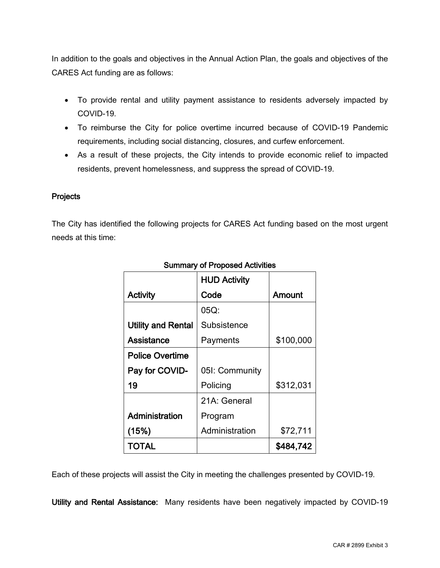In addition to the goals and objectives in the Annual Action Plan, the goals and objectives of the CARES Act funding are as follows:

- To provide rental and utility payment assistance to residents adversely impacted by COVID-19.
- To reimburse the City for police overtime incurred because of COVID-19 Pandemic requirements, including social distancing, closures, and curfew enforcement.
- As a result of these projects, the City intends to provide economic relief to impacted residents, prevent homelessness, and suppress the spread of COVID-19.

### **Projects**

The City has identified the following projects for CARES Act funding based on the most urgent needs at this time:

|                           | <b>HUD Activity</b> |           |
|---------------------------|---------------------|-----------|
| <b>Activity</b>           | Code                | Amount    |
|                           | 05Q:                |           |
| <b>Utility and Rental</b> | Subsistence         |           |
| Assistance                | Payments            | \$100,000 |
| <b>Police Overtime</b>    |                     |           |
| Pay for COVID-            | 05I: Community      |           |
| 19                        | Policing            | \$312,031 |
|                           | 21A: General        |           |
| Administration            | Program             |           |
| (15%)                     | Administration      | \$72,711  |
| TOTAL                     |                     | \$484,742 |

## Summary of Proposed Activities

Each of these projects will assist the City in meeting the challenges presented by COVID-19.

Utility and Rental Assistance: Many residents have been negatively impacted by COVID-19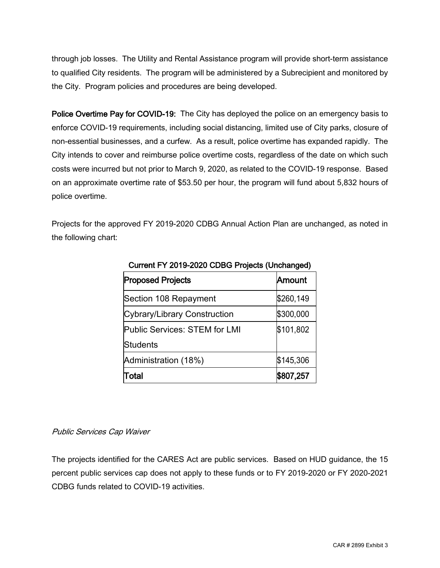through job losses. The Utility and Rental Assistance program will provide short-term assistance to qualified City residents. The program will be administered by a Subrecipient and monitored by the City. Program policies and procedures are being developed.

Police Overtime Pay for COVID-19: The City has deployed the police on an emergency basis to enforce COVID-19 requirements, including social distancing, limited use of City parks, closure of non-essential businesses, and a curfew. As a result, police overtime has expanded rapidly. The City intends to cover and reimburse police overtime costs, regardless of the date on which such costs were incurred but not prior to March 9, 2020, as related to the COVID-19 response. Based on an approximate overtime rate of \$53.50 per hour, the program will fund about 5,832 hours of police overtime.

Projects for the approved FY 2019-2020 CDBG Annual Action Plan are unchanged, as noted in the following chart:

| Curielit Fill Z019-2020 CDBG Frojects (Offchanged) |           |  |
|----------------------------------------------------|-----------|--|
| <b>Proposed Projects</b>                           | Amount    |  |
| Section 108 Repayment                              | \$260,149 |  |
| Cybrary/Library Construction                       | \$300,000 |  |
| Public Services: STEM for LMI                      | \$101,802 |  |
| <b>Students</b>                                    |           |  |
| Administration (18%)                               | \$145,306 |  |
| Total                                              | \$807,257 |  |

| Current FY 2019-2020 CDBG Projects (Unchanged) |  |
|------------------------------------------------|--|

### Public Services Cap Waiver

The projects identified for the CARES Act are public services. Based on HUD guidance, the 15 percent public services cap does not apply to these funds or to FY 2019-2020 or FY 2020-2021 CDBG funds related to COVID-19 activities.